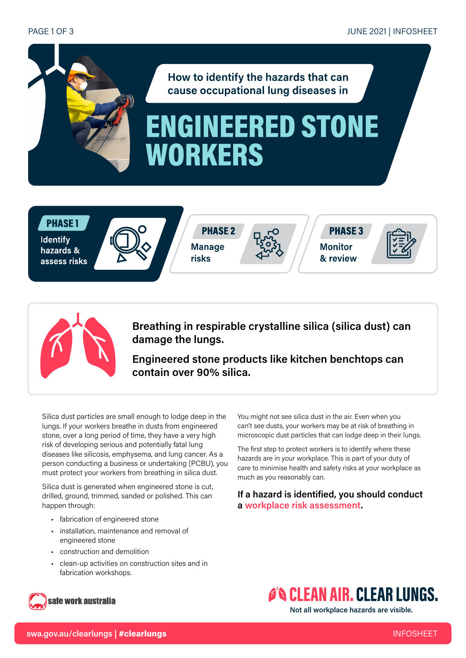#### PAGE 1 OF 3



## **PHASE1**

**Identify** hazards & assess risks



**PHASE 2 Manage** risks







Breathing in respirable crystalline silica (silica dust) can damage the lungs.

Engineered stone products like kitchen benchtops can contain over 90% silica.

Silica dust particles are small enough to lodge deep in the lungs. If your workers breathe in dusts from engineered stone, over a long period of time, they have a very high risk of developing serious and potentially fatal lung diseases like silicosis, emphysema, and lung cancer. As a person conducting a business or undertaking (PCBU), you must protect your workers from breathing in silica dust.

Silica dust is generated when engineered stone is cut, drilled, ground, trimmed, sanded or polished. This can happen through:

- fabrication of engineered stone
- installation, maintenance and removal of engineered stone
- construction and demolition
- clean-up activities on construction sites and in fabrication workshops.

You might not see silica dust in the air. Even when you can't see dusts, your workers may be at risk of breathing in microscopic dust particles that can lodge deep in their lungs.

The first step to protect workers is to identify where these hazards are in your workplace. This is part of your duty of care to minimise health and safety risks at your workplace as much as you reasonably can.

If a hazard is identified, you should conduct a [workplace risk](https://www.safeworkaustralia.gov.au/risk) assessment.

## safe work australia

# **O'S CLEAN AIR. CLEAR LUNGS.**

Not all workplace hazards are visible.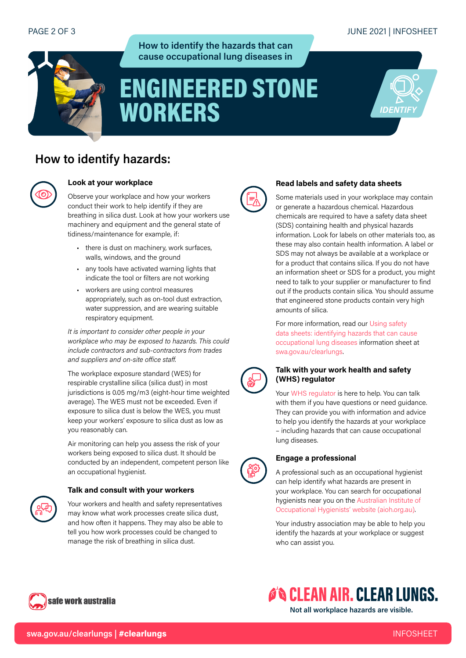## JUNE 2021 | INFOSHEET



### How to identify the hazards that can cause occupational lung diseases in

# ENGINEERED STONE WORKERS



## How to identify hazards:



#### Look at your workplace

Observe your workplace and how your workers conduct their work to help identify if they are breathing in silica dust. Look at how your workers use machinery and equipment and the general state of tidiness/maintenance for example, if:

- there is dust on machinery, work surfaces, walls, windows, and the ground
- any tools have activated warning lights that indicate the tool or filters are not working
- workers are using control measures appropriately, such as on-tool dust extraction, water suppression, and are wearing suitable respiratory equipment.

It is important to consider other people in your workplace who may be exposed to hazards. This could include contractors and sub-contractors from trades and suppliers and on-site office staff.

The workplace exposure standard (WES) for respirable crystalline silica (silica dust) in most jurisdictions is 0.05 mg/m3 (eight-hour time weighted average). The WES must not be exceeded. Even if exposure to silica dust is below the WES, you must keep your workers' exposure to silica dust as low as you reasonably can.

Air monitoring can help you assess the risk of your workers being exposed to silica dust. It should be conducted by an independent, competent person like an occupational hygienist.

#### Talk and consult with your workers

Your workers and health and safety representatives may know what work processes create silica dust, and how often it happens. They may also be able to tell you how work processes could be changed to manage the risk of breathing in silica dust.



#### Read labels and safety data sheets

Some materials used in your workplace may contain or generate a hazardous chemical. Hazardous chemicals are required to have a safety data sheet (SDS) containing health and physical hazards information. Look for labels on other materials too, as these may also contain health information. A label or SDS may not always be available at a workplace or for a product that contains silica. If you do not have an information sheet or SDS for a product, you might need to talk to your supplier or manufacturer to find out if the products contain silica. You should assume that engineered stone products contain very high amounts of silica.

For more information, read our [Using safety](https://www.safeworkaustralia.gov.au/cacl_using_sds_information_sheet)  [data sheets: identifying hazards that can cause](https://www.safeworkaustralia.gov.au/cacl_using_sds_information_sheet)  [occupational lung diseases](https://www.safeworkaustralia.gov.au/cacl_using_sds_information_sheet) information sheet at [swa.gov.au/clearlungs.](http://swa.gov.au/clearlungs)



#### Talk with your work health and safety (WHS) regulator

Your [WHS regulator](https://www.safeworkaustralia.gov.au/whs-authorities-contact-information) is here to help. You can talk with them if you have questions or need guidance. They can provide you with information and advice to help you identify the hazards at your workplace – including hazards that can cause occupational lung diseases.



### Engage a professional

A professional such as an occupational hygienist can help identify what hazards are present in your workplace. You can search for occupational hygienists near you on the [Australian Institute of](https://www.aioh.org.au/resources/find-an-occupational-hygiene-consultant)  [Occupational Hygienists' website \(aioh.org.au](https://www.aioh.org.au/resources/find-an-occupational-hygiene-consultant)).

Your industry association may be able to help you identify the hazards at your workplace or suggest who can assist you.



Not all workplace hazards are visible.